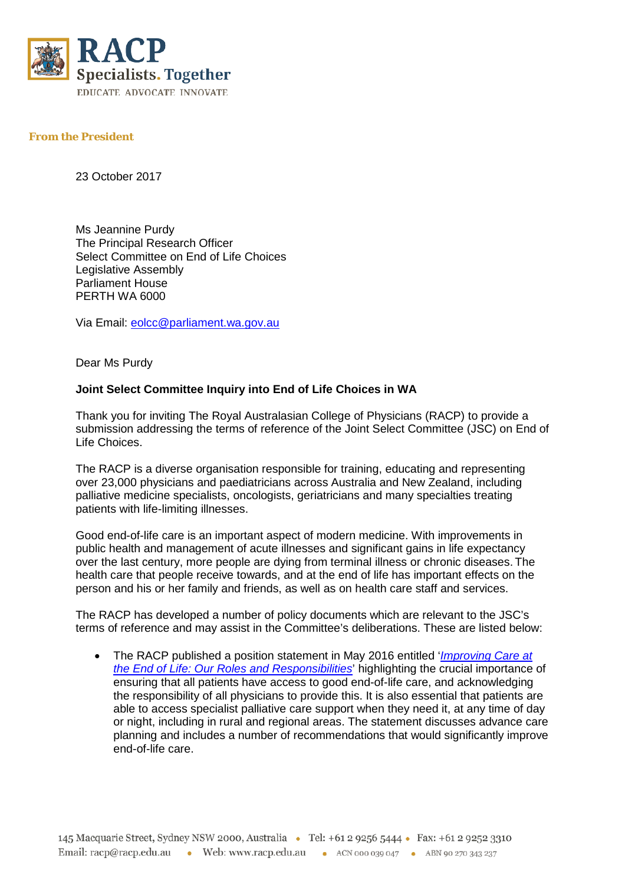

## **From the President**

23 October 2017

Ms Jeannine Purdy The Principal Research Officer Select Committee on End of Life Choices Legislative Assembly Parliament House PERTH WA 6000

Via Email: [eolcc@parliament.wa.gov.au](mailto:eolcc@parliament.wa.gov.au)

Dear Ms Purdy

## **Joint Select Committee Inquiry into End of Life Choices in WA**

Thank you for inviting The Royal Australasian College of Physicians (RACP) to provide a submission addressing the terms of reference of the Joint Select Committee (JSC) on End of Life Choices.

The RACP is a diverse organisation responsible for training, educating and representing over 23,000 physicians and paediatricians across Australia and New Zealand, including palliative medicine specialists, oncologists, geriatricians and many specialties treating patients with life-limiting illnesses.

Good end-of-life care is an important aspect of modern medicine. With improvements in public health and management of acute illnesses and significant gains in life expectancy over the last century, more people are dying from terminal illness or chronic diseases. The health care that people receive towards, and at the end of life has important effects on the person and his or her family and friends, as well as on health care staff and services.

The RACP has developed a number of policy documents which are relevant to the JSC's terms of reference and may assist in the Committee's deliberations. These are listed below:

• The RACP published a position statement in May 2016 entitled '*[Improving Care at](https://www.racp.edu.au/docs/default-source/advocacy-library/pa-pos-end-of-life-position-statement.pdf)  [the End of Life: Our Roles and Responsibilities](https://www.racp.edu.au/docs/default-source/advocacy-library/pa-pos-end-of-life-position-statement.pdf)*' highlighting the crucial importance of ensuring that all patients have access to good end-of-life care, and acknowledging the responsibility of all physicians to provide this. It is also essential that patients are able to access specialist palliative care support when they need it, at any time of day or night, including in rural and regional areas. The statement discusses advance care planning and includes a number of recommendations that would significantly improve end-of-life care.